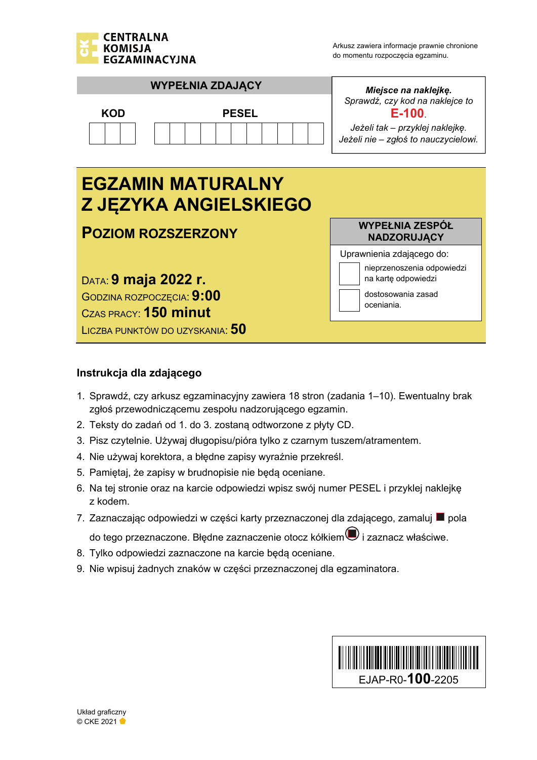

dostosowania zasad

oceniania.



GODZINA ROZPOCZĘCIA: **9:00** 

CZAS PRACY: **150 minut**

LICZBA PUNKTÓW DO UZYSKANIA: **50**

# **Instrukcja dla zdającego**

- 1. Sprawdź, czy arkusz egzaminacyjny zawiera 18 stron (zadania 1–10). Ewentualny brak zgłoś przewodniczącemu zespołu nadzorującego egzamin.
- 2. Teksty do zadań od 1. do 3. zostaną odtworzone z płyty CD.
- 3. Pisz czytelnie. Używaj długopisu/pióra tylko z czarnym tuszem/atramentem.
- 4. Nie używaj korektora, a błędne zapisy wyraźnie przekreśl.
- 5. Pamiętaj, że zapisy w brudnopisie nie będą oceniane.
- 6. Na tej stronie oraz na karcie odpowiedzi wpisz swój numer PESEL i przyklej naklejkę z kodem.
- 7. Zaznaczając odpowiedzi w części karty przeznaczonej dla zdającego, zamaluj pola
	- do tego przeznaczone. Błędne zaznaczenie otocz kółkiem $\bigcirc$  i zaznacz właściwe.
- 8. Tylko odpowiedzi zaznaczone na karcie będą oceniane.
- 9. Nie wpisuj żadnych znaków w części przeznaczonej dla egzaminatora.

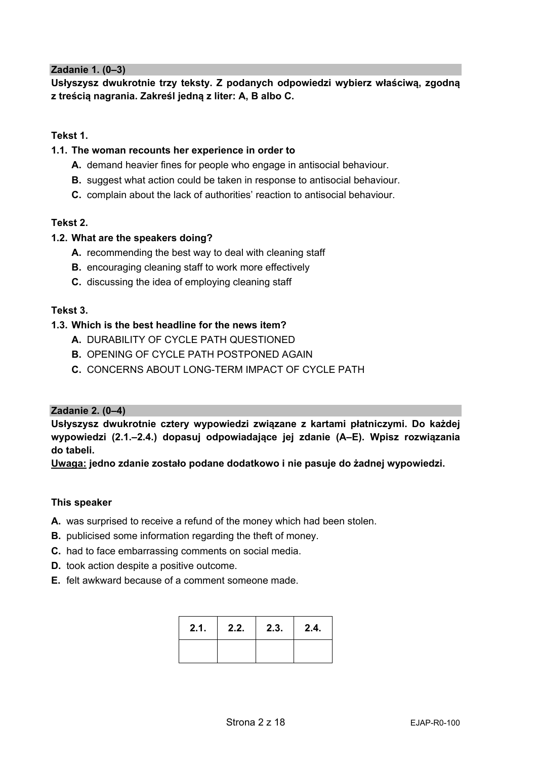## **Zadanie 1. (0–3)**

**Usłyszysz dwukrotnie trzy teksty. Z podanych odpowiedzi wybierz właściwą, zgodną z treścią nagrania. Zakreśl jedną z liter: A, B albo C.** 

## **Tekst 1.**

#### **1.1. The woman recounts her experience in order to**

- **A.** demand heavier fines for people who engage in antisocial behaviour.
- **B.** suggest what action could be taken in response to antisocial behaviour.
- **C.** complain about the lack of authorities' reaction to antisocial behaviour.

#### **Tekst 2.**

## **1.2. What are the speakers doing?**

- **A.** recommending the best way to deal with cleaning staff
- **B.** encouraging cleaning staff to work more effectively
- **C.** discussing the idea of employing cleaning staff

## **Tekst 3.**

## **1.3. Which is the best headline for the news item?**

- **A.** DURABILITY OF CYCLE PATH QUESTIONED
- **B.** OPENING OF CYCLE PATH POSTPONED AGAIN
- **C.** CONCERNS ABOUT LONG-TERM IMPACT OF CYCLE PATH

#### **Zadanie 2. (0–4)**

**Usłyszysz dwukrotnie cztery wypowiedzi związane z kartami płatniczymi. Do każdej wypowiedzi (2.1.–2.4.) dopasuj odpowiadające jej zdanie (A–E). Wpisz rozwiązania do tabeli.** 

**Uwaga: jedno zdanie zostało podane dodatkowo i nie pasuje do żadnej wypowiedzi.** 

#### **This speaker**

- **A.** was surprised to receive a refund of the money which had been stolen.
- **B.** publicised some information regarding the theft of money.
- **C.** had to face embarrassing comments on social media.
- **D.** took action despite a positive outcome.
- **E.** felt awkward because of a comment someone made.

| 2.1. | 2.2. | 2.3. | 2.4. |
|------|------|------|------|
|      |      |      |      |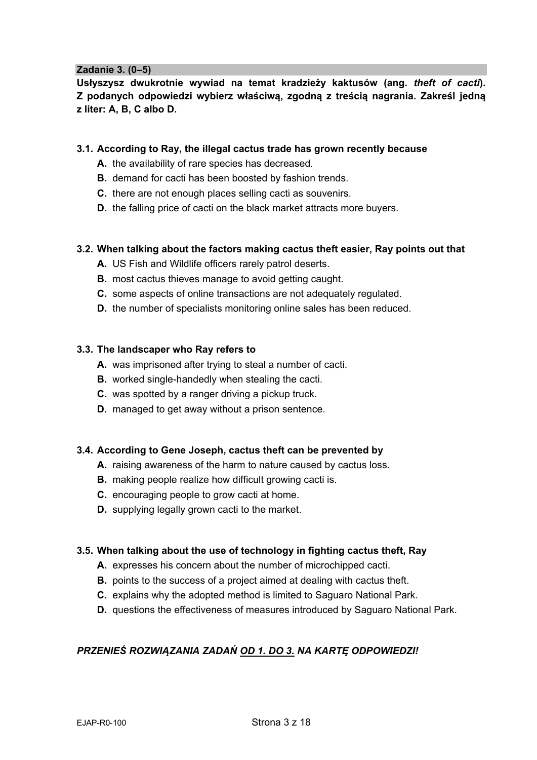## **Zadanie 3. (0–5)**

**Usłyszysz dwukrotnie wywiad na temat kradzieży kaktusów (ang.** *theft of cacti***). Z podanych odpowiedzi wybierz właściwą, zgodną z treścią nagrania. Zakreśl jedną z liter: A, B, C albo D.** 

#### **3.1. According to Ray, the illegal cactus trade has grown recently because**

- **A.** the availability of rare species has decreased.
- **B.** demand for cacti has been boosted by fashion trends.
- **C.** there are not enough places selling cacti as souvenirs.
- **D.** the falling price of cacti on the black market attracts more buyers.

#### **3.2. When talking about the factors making cactus theft easier, Ray points out that**

- **A.** US Fish and Wildlife officers rarely patrol deserts.
- **B.** most cactus thieves manage to avoid getting caught.
- **C.** some aspects of online transactions are not adequately regulated.
- **D.** the number of specialists monitoring online sales has been reduced.

#### **3.3. The landscaper who Ray refers to**

- **A.** was imprisoned after trying to steal a number of cacti.
- **B.** worked single-handedly when stealing the cacti.
- **C.** was spotted by a ranger driving a pickup truck.
- **D.** managed to get away without a prison sentence.

#### **3.4. According to Gene Joseph, cactus theft can be prevented by**

- **A.** raising awareness of the harm to nature caused by cactus loss.
- **B.** making people realize how difficult growing cacti is.
- **C.** encouraging people to grow cacti at home.
- **D.** supplying legally grown cacti to the market.

#### **3.5. When talking about the use of technology in fighting cactus theft, Ray**

- **A.** expresses his concern about the number of microchipped cacti.
- **B.** points to the success of a project aimed at dealing with cactus theft.
- **C.** explains why the adopted method is limited to Saguaro National Park.
- **D.** questions the effectiveness of measures introduced by Saguaro National Park.

#### *PRZENIEŚ ROZWIĄZANIA ZADAŃ OD 1. DO 3. NA KARTĘ ODPOWIEDZI!*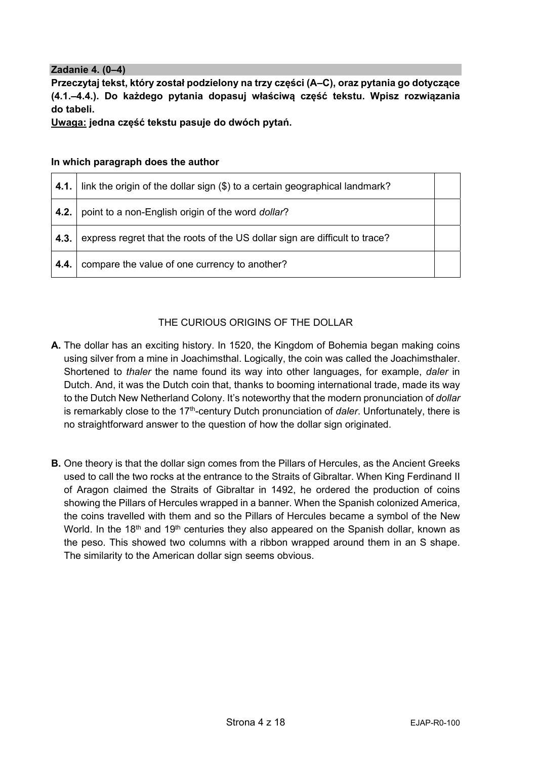## **Zadanie 4. (0–4)**

**Przeczytaj tekst, który został podzielony na trzy części (A–C), oraz pytania go dotyczące (4.1.–4.4.). Do każdego pytania dopasuj właściwą część tekstu. Wpisz rozwiązania do tabeli.** 

**Uwaga: jedna część tekstu pasuje do dwóch pytań.** 

| 4.1. | link the origin of the dollar sign (\$) to a certain geographical landmark? |  |
|------|-----------------------------------------------------------------------------|--|
| 4.2. | point to a non-English origin of the word dollar?                           |  |
| 4.3. | express regret that the roots of the US dollar sign are difficult to trace? |  |
| 4.4. | compare the value of one currency to another?                               |  |

#### **In which paragraph does the author**

## THE CURIOUS ORIGINS OF THE DOLLAR

- **A.** The dollar has an exciting history. In 1520, the Kingdom of Bohemia began making coins using silver from a mine in Joachimsthal. Logically, the coin was called the Joachimsthaler. Shortened to *thaler* the name found its way into other languages, for example, *daler* in Dutch. And, it was the Dutch coin that, thanks to booming international trade, made its way to the Dutch New Netherland Colony. It's noteworthy that the modern pronunciation of *dollar* is remarkably close to the 17<sup>th</sup>-century Dutch pronunciation of *daler*. Unfortunately, there is no straightforward answer to the question of how the dollar sign originated.
- **B.** One theory is that the dollar sign comes from the Pillars of Hercules, as the Ancient Greeks used to call the two rocks at the entrance to the Straits of Gibraltar. When King Ferdinand II of Aragon claimed the Straits of Gibraltar in 1492, he ordered the production of coins showing the Pillars of Hercules wrapped in a banner. When the Spanish colonized America, the coins travelled with them and so the Pillars of Hercules became a symbol of the New World. In the 18<sup>th</sup> and 19<sup>th</sup> centuries they also appeared on the Spanish dollar, known as the peso. This showed two columns with a ribbon wrapped around them in an S shape. The similarity to the American dollar sign seems obvious.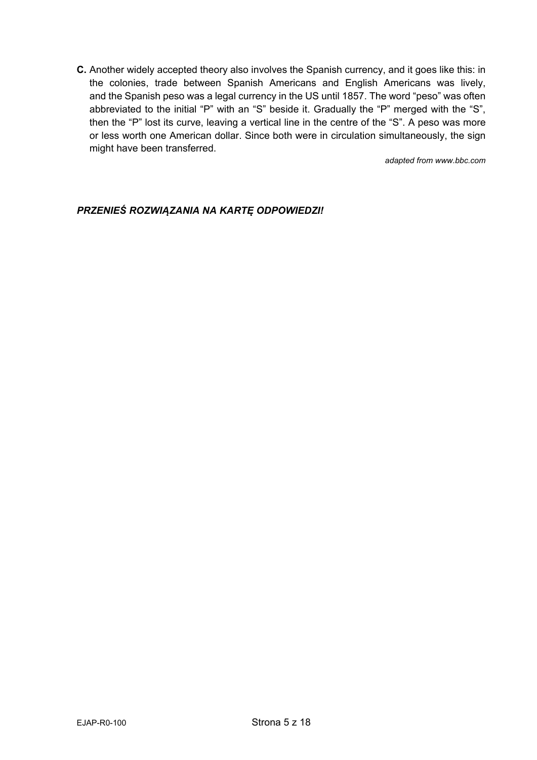C. Another widely accepted theory also involves the Spanish currency, and it goes like this: in the colonies, trade between Spanish Americans and English Americans was lively, and the Spanish peso was a legal currency in the US until 1857. The word "peso" was often abbreviated to the initial "P" with an "S" beside it. Gradually the "P" merged with the "S", then the "P" lost its curve, leaving a vertical line in the centre of the "S". A peso was more or less worth one American dollar. Since both were in circulation simultaneously, the sign might have been transferred.

adapted from www.bbc.com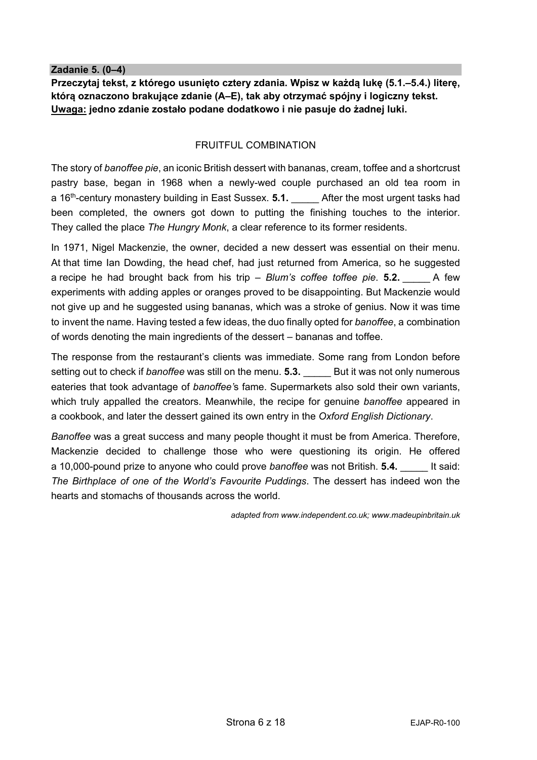#### **Zadanie 5. (0–4)**

**Przeczytaj tekst, z którego usunięto cztery zdania. Wpisz w każdą lukę (5.1.–5.4.) literę, którą oznaczono brakujące zdanie (A–E), tak aby otrzymać spójny i logiczny tekst. Uwaga: jedno zdanie zostało podane dodatkowo i nie pasuje do żadnej luki.** 

## FRUITFUL COMBINATION

The story of *banoffee pie*, an iconic British dessert with bananas, cream, toffee and a shortcrust pastry base, began in 1968 when a newly-wed couple purchased an old tea room in a 16<sup>th</sup>-century monastery building in East Sussex. **5.1.** After the most urgent tasks had been completed, the owners got down to putting the finishing touches to the interior. They called the place *The Hungry Monk*, a clear reference to its former residents.

In 1971, Nigel Mackenzie, the owner, decided a new dessert was essential on their menu. At that time Ian Dowding, the head chef, had just returned from America, so he suggested a recipe he had brought back from his trip – *Blum's coffee toffee pie*. **5.2.** \_\_\_\_\_ A few experiments with adding apples or oranges proved to be disappointing. But Mackenzie would not give up and he suggested using bananas, which was a stroke of genius. Now it was time to invent the name. Having tested a few ideas, the duo finally opted for *banoffee*, a combination of words denoting the main ingredients of the dessert – bananas and toffee.

The response from the restaurant's clients was immediate. Some rang from London before setting out to check if *banoffee* was still on the menu. **5.3.** \_\_\_\_\_\_ But it was not only numerous eateries that took advantage of *banoffee'*s fame. Supermarkets also sold their own variants, which truly appalled the creators. Meanwhile, the recipe for genuine *banoffee* appeared in a cookbook, and later the dessert gained its own entry in the *Oxford English Dictionary*.

*Banoffee* was a great success and many people thought it must be from America. Therefore, Mackenzie decided to challenge those who were questioning its origin. He offered a 10,000-pound prize to anyone who could prove *banoffee* was not British. **5.4.** \_\_\_\_\_ It said: *The Birthplace of one of the World's Favourite Puddings*. The dessert has indeed won the hearts and stomachs of thousands across the world.

*adapted from www.independent.co.uk; www.madeupinbritain.uk*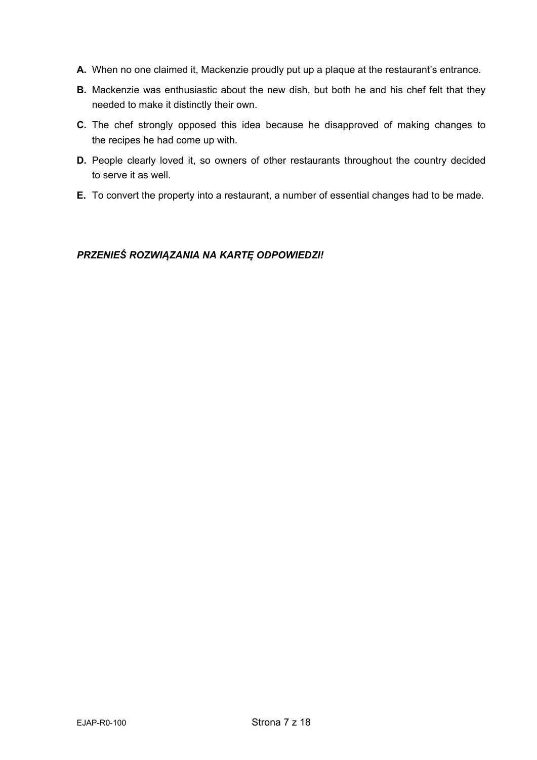- A. When no one claimed it, Mackenzie proudly put up a plaque at the restaurant's entrance.
- B. Mackenzie was enthusiastic about the new dish, but both he and his chef felt that they needed to make it distinctly their own.
- C. The chef strongly opposed this idea because he disapproved of making changes to the recipes he had come up with.
- D. People clearly loved it, so owners of other restaurants throughout the country decided to serve it as well.
- E. To convert the property into a restaurant, a number of essential changes had to be made.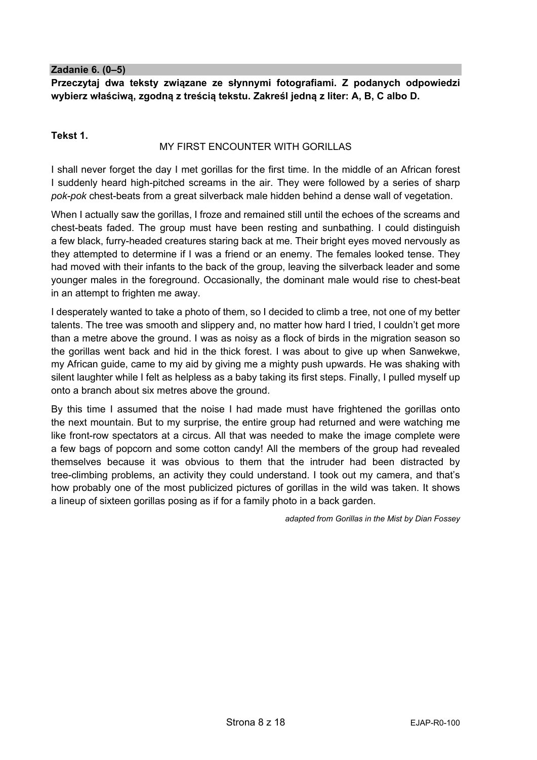**Zadanie 6. (0–5)** 

**Przeczytaj dwa teksty związane ze słynnymi fotografiami. Z podanych odpowiedzi wybierz właściwą, zgodną z treścią tekstu. Zakreśl jedną z liter: A, B, C albo D.** 

#### **Tekst 1.**

## MY FIRST ENCOUNTER WITH GORILLAS

I shall never forget the day I met gorillas for the first time. In the middle of an African forest I suddenly heard high-pitched screams in the air. They were followed by a series of sharp *pok-pok* chest-beats from a great silverback male hidden behind a dense wall of vegetation.

When I actually saw the gorillas, I froze and remained still until the echoes of the screams and chest-beats faded. The group must have been resting and sunbathing. I could distinguish a few black, furry-headed creatures staring back at me. Their bright eyes moved nervously as they attempted to determine if I was a friend or an enemy. The females looked tense. They had moved with their infants to the back of the group, leaving the silverback leader and some younger males in the foreground. Occasionally, the dominant male would rise to chest-beat in an attempt to frighten me away.

I desperately wanted to take a photo of them, so I decided to climb a tree, not one of my better talents. The tree was smooth and slippery and, no matter how hard I tried, I couldn't get more than a metre above the ground. I was as noisy as a flock of birds in the migration season so the gorillas went back and hid in the thick forest. I was about to give up when Sanwekwe, my African guide, came to my aid by giving me a mighty push upwards. He was shaking with silent laughter while I felt as helpless as a baby taking its first steps. Finally, I pulled myself up onto a branch about six metres above the ground.

By this time I assumed that the noise I had made must have frightened the gorillas onto the next mountain. But to my surprise, the entire group had returned and were watching me like front-row spectators at a circus. All that was needed to make the image complete were a few bags of popcorn and some cotton candy! All the members of the group had revealed themselves because it was obvious to them that the intruder had been distracted by tree-climbing problems, an activity they could understand. I took out my camera, and that's how probably one of the most publicized pictures of gorillas in the wild was taken. It shows a lineup of sixteen gorillas posing as if for a family photo in a back garden.

*adapted from Gorillas in the Mist by Dian Fossey*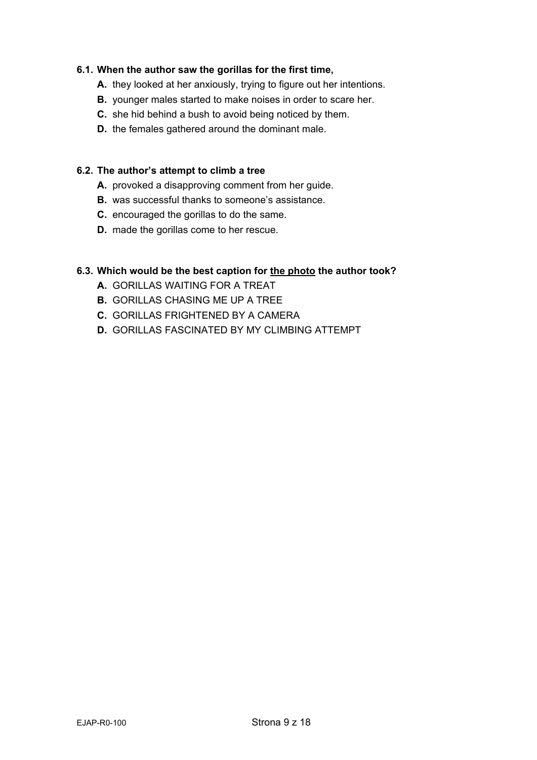## **6.1. When the author saw the gorillas for the first time,**

- **A.** they looked at her anxiously, trying to figure out her intentions.
- **B.** younger males started to make noises in order to scare her.
- **C.** she hid behind a bush to avoid being noticed by them.
- **D.** the females gathered around the dominant male.

## **6.2. The author's attempt to climb a tree**

- **A.** provoked a disapproving comment from her guide.
- **B.** was successful thanks to someone's assistance.
- **C.** encouraged the gorillas to do the same.
- **D.** made the gorillas come to her rescue.

## **6.3. Which would be the best caption for the photo the author took?**

- **A.** GORILLAS WAITING FOR A TREAT
- **B.** GORILLAS CHASING ME UP A TREE
- **C.** GORILLAS FRIGHTENED BY A CAMERA
- **D.** GORILLAS FASCINATED BY MY CLIMBING ATTEMPT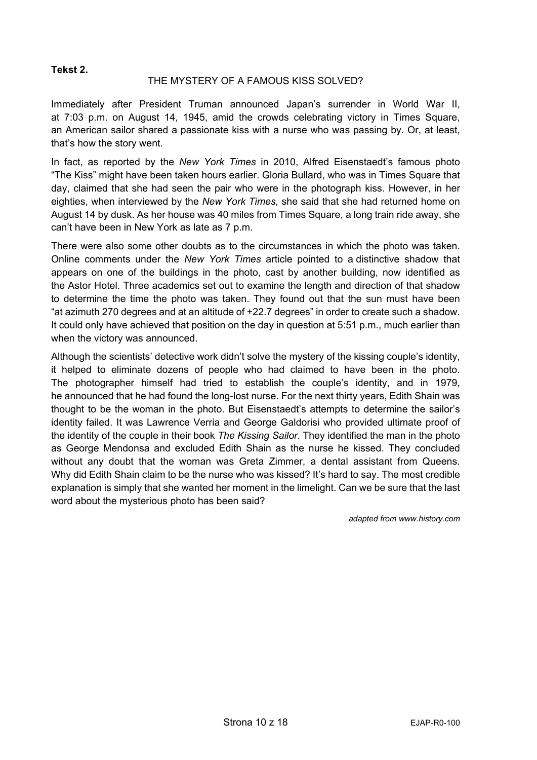## **Tekst 2.**

## THE MYSTERY OF A FAMOUS KISS SOLVED?

Immediately after President Truman announced Japan's surrender in World War II, at 7:03 p.m. on August 14, 1945, amid the crowds celebrating victory in Times Square, an American sailor shared a passionate kiss with a nurse who was passing by. Or, at least, that's how the story went.

In fact, as reported by the *New York Times* in 2010, Alfred Eisenstaedt's famous photo "The Kiss" might have been taken hours earlier. Gloria Bullard, who was in Times Square that day, claimed that she had seen the pair who were in the photograph kiss. However, in her eighties, when interviewed by the *New York Times,* she said that she had returned home on August 14 by dusk. As her house was 40 miles from Times Square, a long train ride away, she can't have been in New York as late as 7 p.m.

There were also some other doubts as to the circumstances in which the photo was taken. Online comments under the *New York Times* article pointed to a distinctive shadow that appears on one of the buildings in the photo, cast by another building, now identified as the Astor Hotel. Three academics set out to examine the length and direction of that shadow to determine the time the photo was taken. They found out that the sun must have been "at azimuth 270 degrees and at an altitude of +22.7 degrees" in order to create such a shadow. It could only have achieved that position on the day in question at 5:51 p.m., much earlier than when the victory was announced.

Although the scientists' detective work didn't solve the mystery of the kissing couple's identity, it helped to eliminate dozens of people who had claimed to have been in the photo. The photographer himself had tried to establish the couple's identity, and in 1979, he announced that he had found the long-lost nurse. For the next thirty years, Edith Shain was thought to be the woman in the photo. But Eisenstaedt's attempts to determine the sailor's identity failed. It was Lawrence Verria and George Galdorisi who provided ultimate proof of the identity of the couple in their book *The Kissing Sailor*. They identified the man in the photo as George Mendonsa and excluded Edith Shain as the nurse he kissed. They concluded without any doubt that the woman was Greta Zimmer, a dental assistant from Queens. Why did Edith Shain claim to be the nurse who was kissed? It's hard to say. The most credible explanation is simply that she wanted her moment in the limelight. Can we be sure that the last word about the mysterious photo has been said?

*adapted from www.history.com*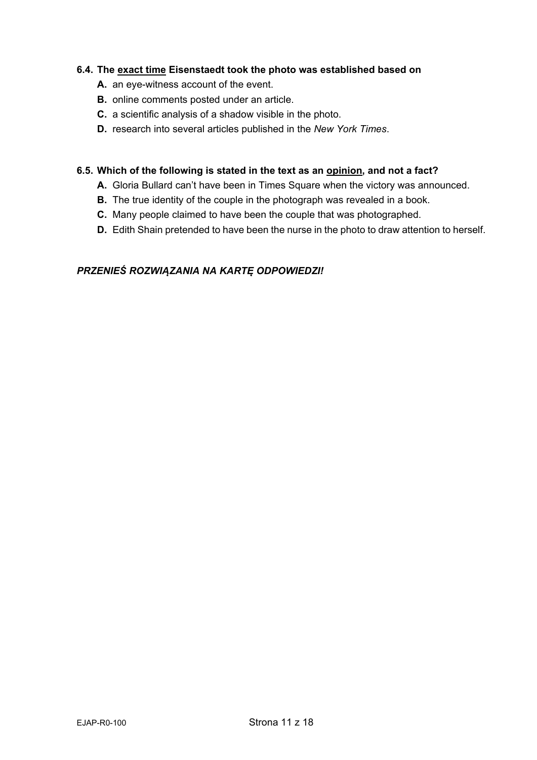## **6.4. The exact time Eisenstaedt took the photo was established based on**

- **A.** an eye-witness account of the event.
- **B.** online comments posted under an article.
- **C.** a scientific analysis of a shadow visible in the photo.
- **D.** research into several articles published in the *New York Times*.

## **6.5. Which of the following is stated in the text as an opinion, and not a fact?**

- **A.** Gloria Bullard can't have been in Times Square when the victory was announced.
- **B.** The true identity of the couple in the photograph was revealed in a book.
- **C.** Many people claimed to have been the couple that was photographed.
- **D.** Edith Shain pretended to have been the nurse in the photo to draw attention to herself.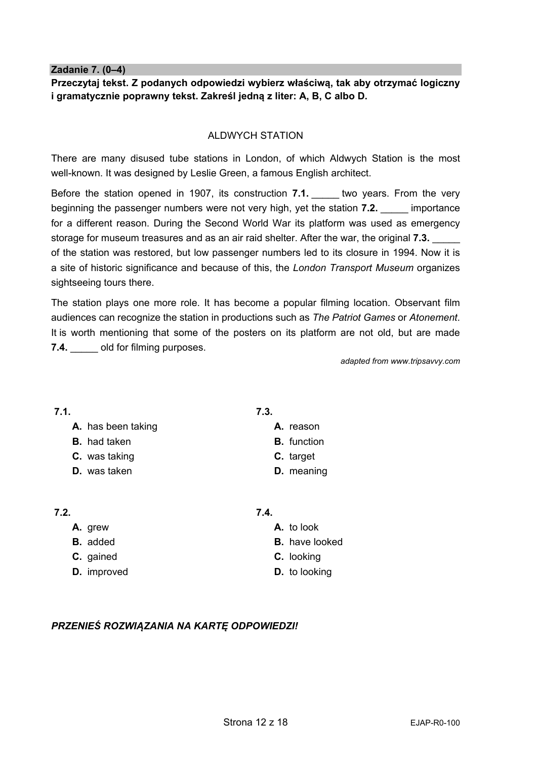**Zadanie 7. (0–4)**

# **Przeczytaj tekst. Z podanych odpowiedzi wybierz właściwą, tak aby otrzymać logiczny i gramatycznie poprawny tekst. Zakreśl jedną z liter: A, B, C albo D.**

## ALDWYCH STATION

There are many disused tube stations in London, of which Aldwych Station is the most well-known. It was designed by Leslie Green, a famous English architect.

Before the station opened in 1907, its construction 7.1. **Lack two years. From the very** beginning the passenger numbers were not very high, yet the station **7.2.** \_\_\_\_\_ importance for a different reason. During the Second World War its platform was used as emergency storage for museum treasures and as an air raid shelter. After the war, the original **7.3.** \_\_\_\_\_ of the station was restored, but low passenger numbers led to its closure in 1994. Now it is a site of historic significance and because of this, the *London Transport Museum* organizes sightseeing tours there.

The station plays one more role. It has become a popular filming location. Observant film audiences can recognize the station in productions such as *The Patriot Games* or *Atonement*. It is worth mentioning that some of the posters on its platform are not old, but are made **7.4.** old for filming purposes.

*adapted from www.tripsavvy.com*

| 7.3. |                    |
|------|--------------------|
|      | A. reason          |
|      | <b>B.</b> function |
|      | C. target          |
|      | <b>D.</b> meaning  |
|      |                    |

**7.2.** 

**7.1.** 

- **A.** grew **B.** added **C.** gained
- **D.** improved

**A.** has been taking

**B.** had taken **C.** was taking **D.** was taken

- **7.4.** 
	- **A.** to look
	- **B.** have looked
	- **C.** looking
	- **D.** to looking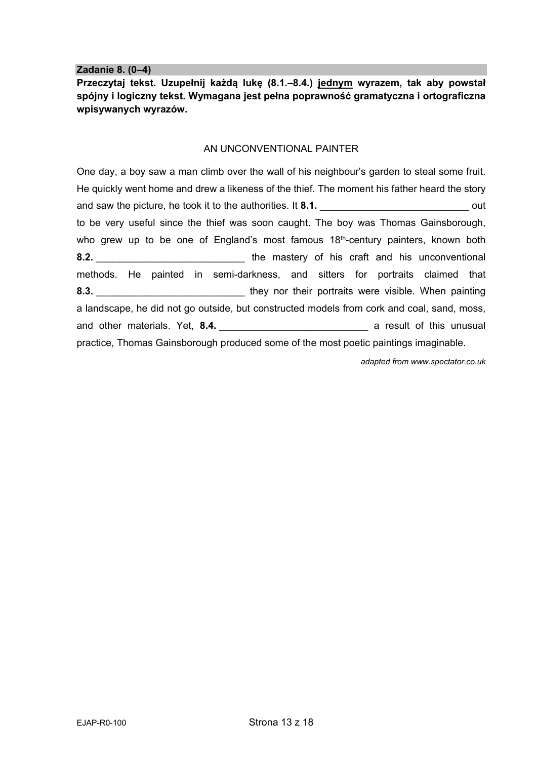**Zadanie 8. (0–4)** 

**Przeczytaj tekst. Uzupełnij każdą lukę (8.1.–8.4.) jednym wyrazem, tak aby powstał spójny i logiczny tekst. Wymagana jest pełna poprawność gramatyczna i ortograficzna wpisywanych wyrazów.**

#### AN UNCONVENTIONAL PAINTER

One day, a boy saw a man climb over the wall of his neighbour's garden to steal some fruit. He quickly went home and drew a likeness of the thief. The moment his father heard the story and saw the picture, he took it to the authorities. It 8.1. **\_\_\_\_\_\_\_\_\_\_\_\_\_\_\_\_\_\_\_\_\_\_\_\_** out to be very useful since the thief was soon caught. The boy was Thomas Gainsborough, who grew up to be one of England's most famous  $18<sup>th</sup>$ -century painters, known both **8.2.** \_\_\_\_\_\_\_\_\_\_\_\_\_\_\_\_\_\_\_\_\_\_\_\_\_\_\_ the mastery of his craft and his unconventional methods. He painted in semi-darkness, and sitters for portraits claimed that 8.3. **8.3. and Talk Constructs** they nor their portraits were visible. When painting a landscape, he did not go outside, but constructed models from cork and coal, sand, moss, and other materials. Yet, 8.4. **All and struck and other materials.** Yet, 8.4. practice, Thomas Gainsborough produced some of the most poetic paintings imaginable. *adapted from www.spectator.co.uk*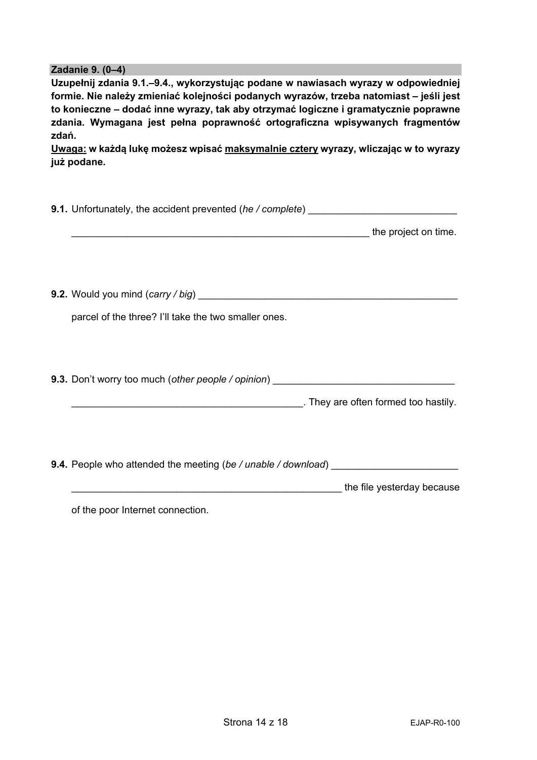## **Zadanie 9. (0–4)**

**Uzupełnij zdania 9.1.–9.4., wykorzystując podane w nawiasach wyrazy w odpowiedniej formie. Nie należy zmieniać kolejności podanych wyrazów, trzeba natomiast – jeśli jest to konieczne – dodać inne wyrazy, tak aby otrzymać logiczne i gramatycznie poprawne zdania. Wymagana jest pełna poprawność ortograficzna wpisywanych fragmentów zdań.** 

**Uwaga: w każdą lukę możesz wpisać maksymalnie cztery wyrazy, wliczając w to wyrazy już podane.** 

| 9.1. Unfortunately, the accident prevented (he / complete) _____________________       |  |  |  |  |  |  |
|----------------------------------------------------------------------------------------|--|--|--|--|--|--|
|                                                                                        |  |  |  |  |  |  |
|                                                                                        |  |  |  |  |  |  |
|                                                                                        |  |  |  |  |  |  |
|                                                                                        |  |  |  |  |  |  |
| parcel of the three? I'll take the two smaller ones.                                   |  |  |  |  |  |  |
|                                                                                        |  |  |  |  |  |  |
|                                                                                        |  |  |  |  |  |  |
| 9.3. Don't worry too much (other people / opinion) _____________________________       |  |  |  |  |  |  |
|                                                                                        |  |  |  |  |  |  |
|                                                                                        |  |  |  |  |  |  |
|                                                                                        |  |  |  |  |  |  |
|                                                                                        |  |  |  |  |  |  |
| <b>9.4.</b> People who attended the meeting (be / unable / download) _________________ |  |  |  |  |  |  |
|                                                                                        |  |  |  |  |  |  |

of the poor Internet connection.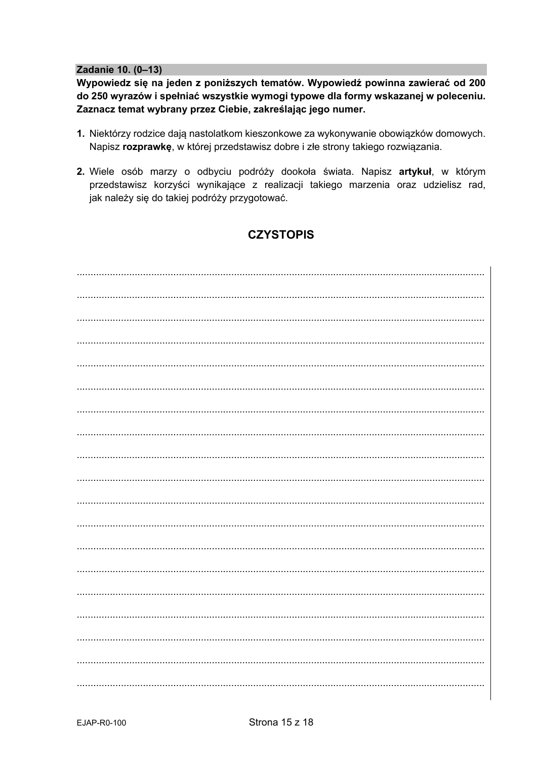Zadanie 10. (0-13)

Wypowiedz się na jeden z poniższych tematów. Wypowiedź powinna zawierać od 200 do 250 wyrazów i spełniać wszystkie wymogi typowe dla formy wskazanej w poleceniu. Zaznacz temat wybrany przez Ciebie, zakreślając jego numer.

- 1. Niektórzy rodzice dają nastolatkom kieszonkowe za wykonywanie obowiązków domowych. Napisz rozprawkę, w której przedstawisz dobre i złe strony takiego rozwiązania.
- 2. Wiele osób marzy o odbyciu podróży dookoła świata. Napisz artykuł, w którym przedstawisz korzyści wynikające z realizacji takiego marzenia oraz udzielisz rad, jak należy się do takiej podróży przygotować.

# **CZYSTOPIS**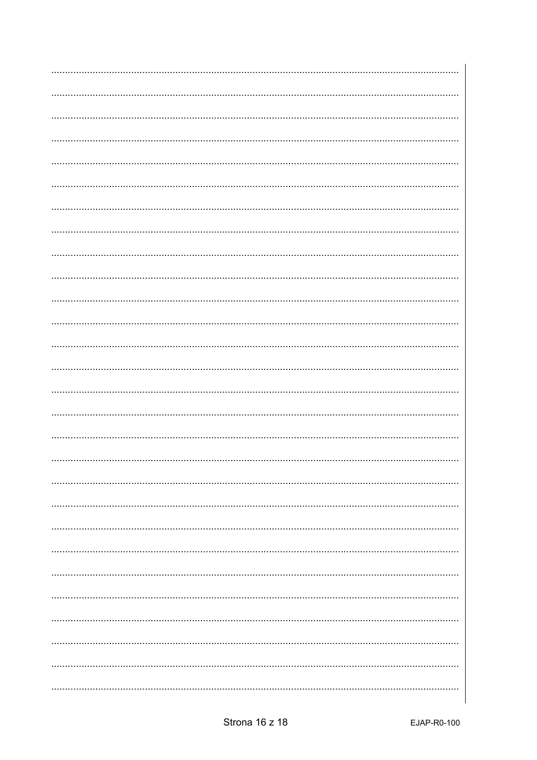| $\cdots$ |
|----------|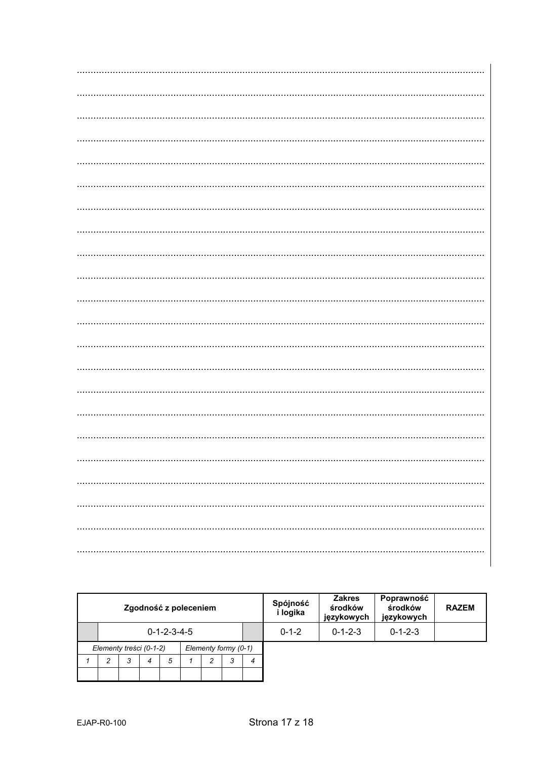| Zgodność z poleceniem                           |                         |   |                |   |  | Spójność<br>i logika | <b>Zakres</b><br>środków<br>językowych | Poprawność<br>środków<br>językowych | <b>RAZEM</b> |                 |                 |  |
|-------------------------------------------------|-------------------------|---|----------------|---|--|----------------------|----------------------------------------|-------------------------------------|--------------|-----------------|-----------------|--|
|                                                 | $0 - 1 - 2 - 3 - 4 - 5$ |   |                |   |  |                      |                                        |                                     | $0 - 1 - 2$  | $0 - 1 - 2 - 3$ | $0 - 1 - 2 - 3$ |  |
| Elementy formy (0-1)<br>Elementy treści (0-1-2) |                         |   |                |   |  |                      |                                        |                                     |              |                 |                 |  |
|                                                 | 2                       | 3 | $\overline{4}$ | 5 |  | 2                    | 3                                      | 4                                   |              |                 |                 |  |
|                                                 |                         |   |                |   |  |                      |                                        |                                     |              |                 |                 |  |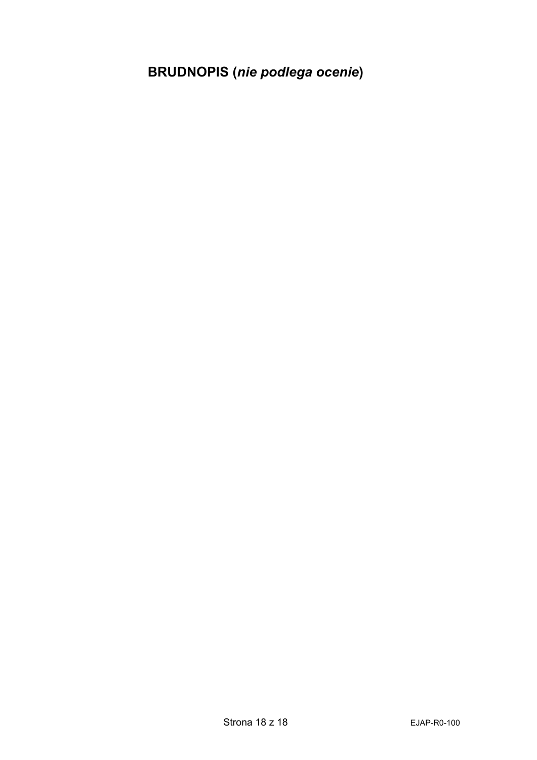**BRUDNOPIS (***nie podlega ocenie***)**